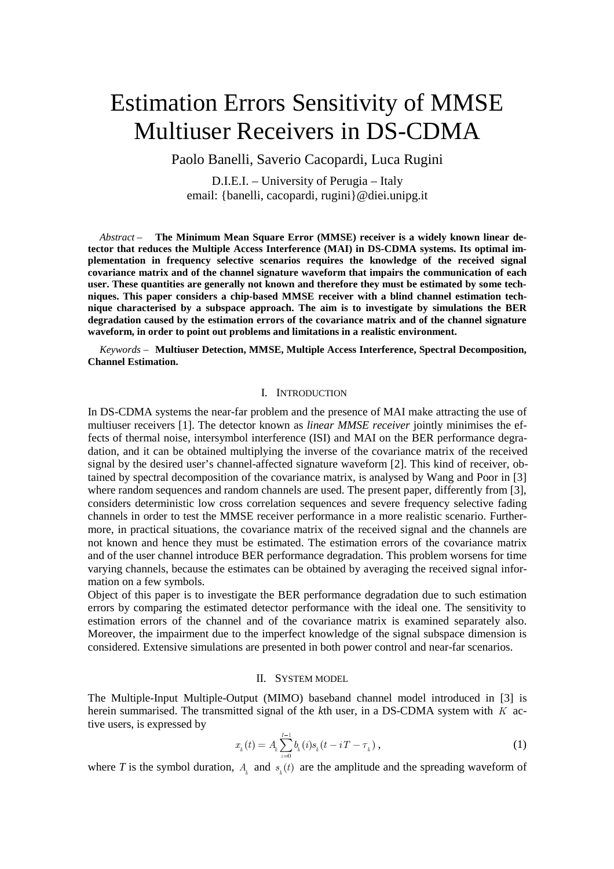# Estimation Errors Sensitivity of MMSE Multiuser Receivers in DS-CDMA

Paolo Banelli, Saverio Cacopardi, Luca Rugini

D.I.E.I. – University of Perugia – Italy email: {banelli, cacopardi, rugini}@diei.unipg.it

*Abstract –* **The Minimum Mean Square Error (MMSE) receiver is a widely known linear detector that reduces the Multiple Access Interference (MAI) in DS-CDMA systems. Its optimal implementation in frequency selective scenarios requires the knowledge of the received signal covariance matrix and of the channel signature waveform that impairs the communication of each user. These quantities are generally not known and therefore they must be estimated by some techniques. This paper considers a chip-based MMSE receiver with a blind channel estimation technique characterised by a subspace approach. The aim is to investigate by simulations the BER degradation caused by the estimation errors of the covariance matrix and of the channel signature waveform, in order to point out problems and limitations in a realistic environment.**

*Keywords –* **Multiuser Detection, MMSE, Multiple Access Interference, Spectral Decomposition, Channel Estimation.**

## I. INTRODUCTION

In DS-CDMA systems the near-far problem and the presence of MAI make attracting the use of multiuser receivers [1]. The detector known as *linear MMSE receiver* jointly minimises the effects of thermal noise, intersymbol interference (ISI) and MAI on the BER performance degradation, and it can be obtained multiplying the inverse of the covariance matrix of the received signal by the desired user's channel-affected signature waveform [2]. This kind of receiver, obtained by spectral decomposition of the covariance matrix, is analysed by Wang and Poor in [3] where random sequences and random channels are used. The present paper, differently from [3], considers deterministic low cross correlation sequences and severe frequency selective fading channels in order to test the MMSE receiver performance in a more realistic scenario. Furthermore, in practical situations, the covariance matrix of the received signal and the channels are not known and hence they must be estimated. The estimation errors of the covariance matrix and of the user channel introduce BER performance degradation. This problem worsens for time varying channels, because the estimates can be obtained by averaging the received signal information on a few symbols.

Object of this paper is to investigate the BER performance degradation due to such estimation errors by comparing the estimated detector performance with the ideal one. The sensitivity to estimation errors of the channel and of the covariance matrix is examined separately also. Moreover, the impairment due to the imperfect knowledge of the signal subspace dimension is considered. Extensive simulations are presented in both power control and near-far scenarios.

### II. SYSTEM MODEL

The Multiple-Input Multiple-Output (MIMO) baseband channel model introduced in [3] is herein summarised. The transmitted signal of the *k*th user, in a DS-CDMA system with *K* active users, is expressed by

$$
x_{k}(t) = A_{k} \sum_{i=0}^{I-1} b_{k}(i) s_{k}(t - iT - \tau_{k}), \qquad (1)
$$

where *T* is the symbol duration,  $A_k$  and  $s_k(t)$  are the amplitude and the spreading waveform of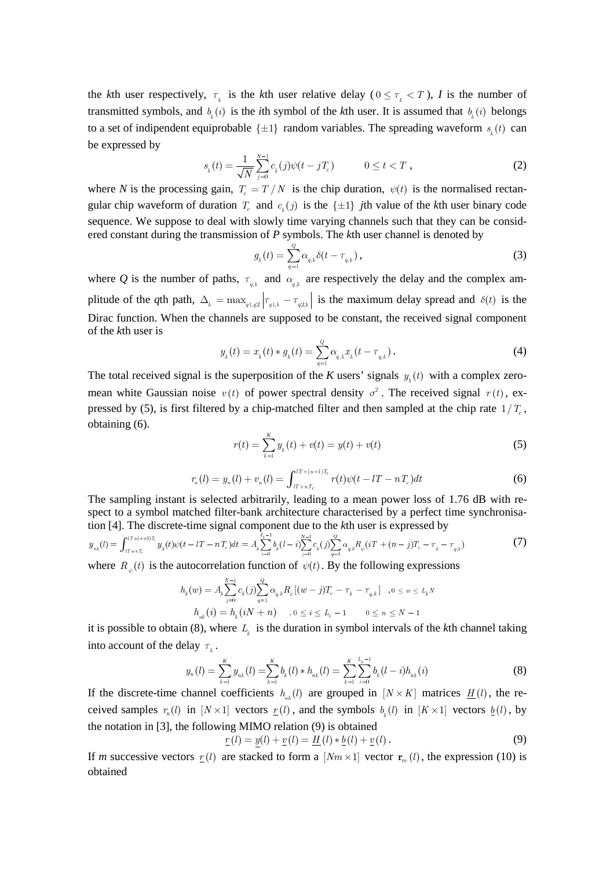the *k*th user respectively,  $\tau_k$  is the *k*th user relative delay ( $0 \le \tau_k < T$ ), *I* is the number of transmitted symbols, and  $b<sub>k</sub>(i)$  is the *i*th symbol of the *k*th user. It is assumed that  $b<sub>k</sub>(i)$  belongs to a set of indipendent equiprobable  $\{\pm 1\}$  random variables. The spreading waveform  $s_i(t)$  can be expressed by

$$
s_k(t) = \frac{1}{\sqrt{N}} \sum_{j=0}^{N-1} c_k(j) \psi(t - jT_c) \qquad 0 \le t < T \tag{2}
$$

where *N* is the processing gain,  $T_c = T/N$  is the chip duration,  $\psi(t)$  is the normalised rectangular chip waveform of duration  $T_c$  and  $c_i(j)$  is the  $\{\pm 1\}$  *j*th value of the *k*th user binary code sequence. We suppose to deal with slowly time varying channels such that they can be considered constant during the transmission of *P* symbols. The *k*th user channel is denoted by

$$
g_k(t) = \sum_{q=1}^{Q} \alpha_{q,k} \delta(t - \tau_{q,k}), \qquad (3)
$$

where Q is the number of paths,  $\tau_{q,k}$  and  $\alpha_{q,k}$  are respectively the delay and the complex amplitude of the *q*th path,  $\Delta_k = \max_{d \mid \mathcal{A}_k} |\tau_{d \mid k} - \tau_{d \mid k}|$  is the maximum delay spread and  $\delta(t)$  is the Dirac function. When the channels are supposed to be constant, the received signal component of the *k*th user is

$$
y_{k}(t) = x_{k}(t) * g_{k}(t) = \sum_{q=1}^{Q} \alpha_{q,k} x_{k}(t - \tau_{q,k}).
$$
\n(4)

The total received signal is the superposition of the *K* users' signals  $y_k(t)$  with a complex zeromean white Gaussian noise  $v(t)$  of power spectral density  $\sigma^2$ . The received signal  $r(t)$ , expressed by (5), is first filtered by a chip-matched filter and then sampled at the chip rate  $1/T_c$ , obtaining (6).

$$
r(t) = \sum_{k=1}^{K} y_k(t) + v(t) = y(t) + v(t)
$$
\n(5)

$$
r_n(l) = y_n(l) + v_n(l) = \int_{lT + nT_c}^{lT + (n+1)T_c} r(t) \psi(t - lT - nT_c) dt
$$
\n(6)

The sampling instant is selected arbitrarily, leading to a mean power loss of 1.76 dB with respect to a symbol matched filter-bank architecture characterised by a perfect time synchronisation [4]. The discrete-time signal component due to the *k*th user is expressed by

$$
y_{nk}(l) = \int_{i\tau + n\tau_c}^{i\tau + (n+1)\tau_c} y_k(t)\psi(t - l\tau - n\tau_c)dt = A_k \sum_{i=0}^{L_c - 1} b_k(l - i) \sum_{j=0}^{N-1} c_k(j) \sum_{q=1}^{Q} \alpha_{q,k} R_{\psi}(i\tau + (n-j)\tau_c - \tau_k - \tau_{q,k})
$$
\n(7)

where  $R_{\mu}(t)$  is the autocorrelation function of  $\psi(t)$ . By the following expressions

$$
h_k(w) = A_k \sum_{j=0}^{N-1} c_k(j) \sum_{q=1}^Q \alpha_{q,k} R_{\psi} [(w-j)T_c - \tau_k - \tau_{q,k}] \quad , 0 \le w \le L_k N
$$
  

$$
h_{nk}(i) = h_k(iN+n) \quad , 0 \le i \le L_k - 1 \quad 0 \le n \le N-1
$$

it is possible to obtain (8), where  $L<sub>i</sub>$  is the duration in symbol intervals of the *k*th channel taking into account of the delay  $\tau_{k}$ .

$$
y_n(l) = \sum_{k=1}^K y_{nk}(l) = \sum_{k=1}^K b_k(l) * h_{nk}(l) = \sum_{k=1}^K \sum_{i=0}^{L_k - 1} b_k(l - i) h_{nk}(i)
$$
(8)

If the discrete-time channel coefficients  $h_{nk}(l)$  are grouped in  $[N \times K]$  matrices  $\underline{H}(l)$ , the received samples  $r_n(l)$  in  $[N \times 1]$  vectors  $r_l(l)$ , and the symbols  $b_k(l)$  in  $[K \times 1]$  vectors  $\underline{b}(l)$ , by the notation in [3], the following MIMO relation (9) is obtained

$$
\underline{r}(l) = \underline{y}(l) + \underline{v}(l) = \underline{H}(l) * \underline{b}(l) + \underline{v}(l).
$$
\n(9)

If *m* successive vectors  $r(n)$  are stacked to form a  $[Nm \times 1]$  vector  $r_m(l)$ , the expression (10) is obtained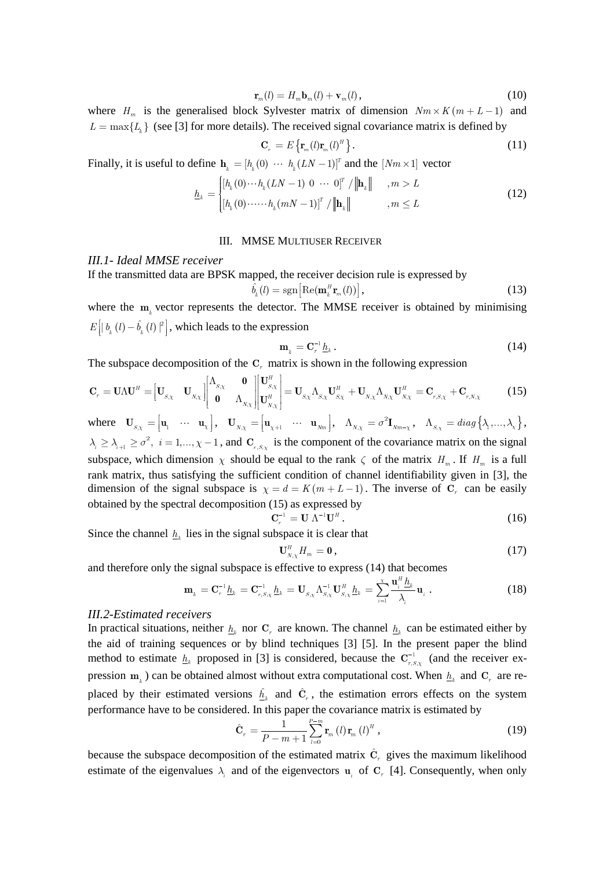$$
\mathbf{r}_{m}(l) = H_{m} \mathbf{b}_{m}(l) + \mathbf{v}_{m}(l), \qquad (10)
$$

where  $H_m$  is the generalised block Sylvester matrix of dimension  $Nm \times K(m+L-1)$  and  $L = \max\{L\}$  (see [3] for more details). The received signal covariance matrix is defined by

$$
\mathbf{C}_r = E\left\{\mathbf{r}_m(l)\mathbf{r}_m(l)^H\right\}.
$$
 (11)

Finally, it is useful to define  $\mathbf{h}_k = [h_k(0) \cdots h_k(LN-1)]^T$  and the  $[Nm \times 1]$  vector

; ÅÅ Å=  ; =  4 KK K <sup>K</sup> <sup>4</sup> KK K *H H ,. M , H H H M. M ,* £¦ ¦ ¦ ¤ ¦ ¦ b ¦¥ **H H** L L LL (12)

#### III. MMSE MULTIUSER RECEIVER

#### *III.1- Ideal MMSE receiver*

If the transmitted data are BPSK mapped, the receiver decision rule is expressed by

$$
\hat{b}_{k}(l) = \text{sgn}\left[\text{Re}(\mathbf{m}_{k}^{H}\mathbf{r}_{m}(l))\right],\tag{13}
$$

where the  $\mathbf{m}_k$  vector represents the detector. The MMSE receiver is obtained by minimising  $E \left[ \left\| b_k \left( l \right) - \hat{b}_k \left( l \right) \right\|^2 \right]$ , which leads to the expression

$$
\mathbf{m}_{k} = \mathbf{C}_{r}^{-1} \underline{h}_{k} \,.
$$

The subspace decomposition of the  $C_r$  matrix is shown in the following expression

$$
\mathbf{C}_{r} = \mathbf{U}\Lambda\mathbf{U}^{H} = \begin{bmatrix} \mathbf{U}_{s,x} & \mathbf{U}_{N,x} \end{bmatrix} \begin{bmatrix} \mathbf{\Lambda}_{s,x} & \mathbf{0} \\ \mathbf{0} & \mathbf{\Lambda}_{N,x} \end{bmatrix} \begin{bmatrix} \mathbf{U}_{s,x}^{H} \\ \mathbf{U}_{N,x}^{H} \end{bmatrix} = \mathbf{U}_{s,x} \Lambda_{s,x} \mathbf{U}_{s,x}^{H} + \mathbf{U}_{N,x} \Lambda_{N,x} \mathbf{U}_{N,x}^{H} = \mathbf{C}_{r,s,x} + \mathbf{C}_{r,N,x}
$$
(15)  
where 
$$
\mathbf{U}_{s,x} = \begin{bmatrix} \mathbf{u}_{1} & \cdots & \mathbf{u}_{x} \end{bmatrix}, \quad \mathbf{U}_{N,x} = \begin{bmatrix} \mathbf{u}_{x+1} & \cdots & \mathbf{u}_{Nm} \end{bmatrix}, \quad \Lambda_{N,x} = \sigma^{2} \mathbf{I}_{Nm-x}, \quad \Lambda_{s,x} = diag\left\{ \lambda_{1}, \ldots, \lambda_{x} \right\},
$$

 $\lambda_i \geq \lambda_{i+1} \geq \sigma^2$ ,  $i = 1, ..., \chi - 1$ , and  $\mathbf{C}_{r,s,\chi}$  is the component of the covariance matrix on the signal subspace, which dimension  $\chi$  should be equal to the rank  $\zeta$  of the matrix  $H_m$ . If  $H_m$  is a full rank matrix, thus satisfying the sufficient condition of channel identifiability given in [3], the dimension of the signal subspace is  $\chi = d = K(m + L - 1)$ . The inverse of **C**<sub>*r*</sub> can be easily obtained by the spectral decomposition (15) as expressed by obtained by the spectral decomposition (15) as expressed by

$$
\mathbf{C}_r^{-1} = \mathbf{U} \Lambda^{-1} \mathbf{U}^H. \tag{16}
$$

Since the channel  $h_k$  lies in the signal subspace it is clear that

$$
\mathbf{U}_{N,\chi}^H H_m = \mathbf{0},\tag{17}
$$

and therefore only the signal subspace is effective to express (14) that becomes  $\mathbf{U}_{N,\chi}^{n} H_{m} =$ <br>subspace is effective to

$$
\mathbf{m}_{k} = \mathbf{C}_{r}^{-1} \underline{h}_{k} = \mathbf{C}_{r,S,\chi}^{-1} \underline{h}_{k} = \mathbf{U}_{S,\chi} \Lambda_{S,\chi}^{-1} \mathbf{U}_{S,\chi}^{H} \underline{h}_{k} = \sum_{i=1}^{\chi} \frac{\mathbf{u}_{i}^{H} \underline{h}_{k}}{\lambda_{i}} \mathbf{u}_{i} \tag{18}
$$

# *III.2-Estimated receivers*

In practical situations, neither  $h_k$  nor  $\mathbf{C}_r$  are known. The channel  $h_k$  can be estimated either by the aid of training sequences or by blind techniques [3] [5]. In the present paper the blind method to estimate  $\underline{h}_k$  proposed in [3] is considered, because the  $\mathbf{C}_{r,S,\chi}^{-1}$  (and the receiver expression  $\mathbf{m}_k$ ) can be obtained almost without extra computational cost. When  $h_k$  and  $\mathbf{C}_r$  are replaced by their estimated versions  $\hat{h}_k$  and  $\hat{C}_r$ , the estimation errors effects on the system performance have to be considered. In this paper the covariance matrix is estimated by

$$
\hat{\mathbf{C}}_{r} = \frac{1}{P - m + 1} \sum_{l=0}^{P - m} \mathbf{r}_{m} \left( l \right) \mathbf{r}_{m} \left( l \right)^{H}, \qquad (19)
$$

because the subspace decomposition of the estimated matrix  $\hat{C}_r$  gives the maximum likelihood estimate of the eigenvalues  $\lambda_i$  and of the eigenvectors  $\mathbf{u}_i$  of  $\mathbf{C}_r$  [4]. Consequently, when only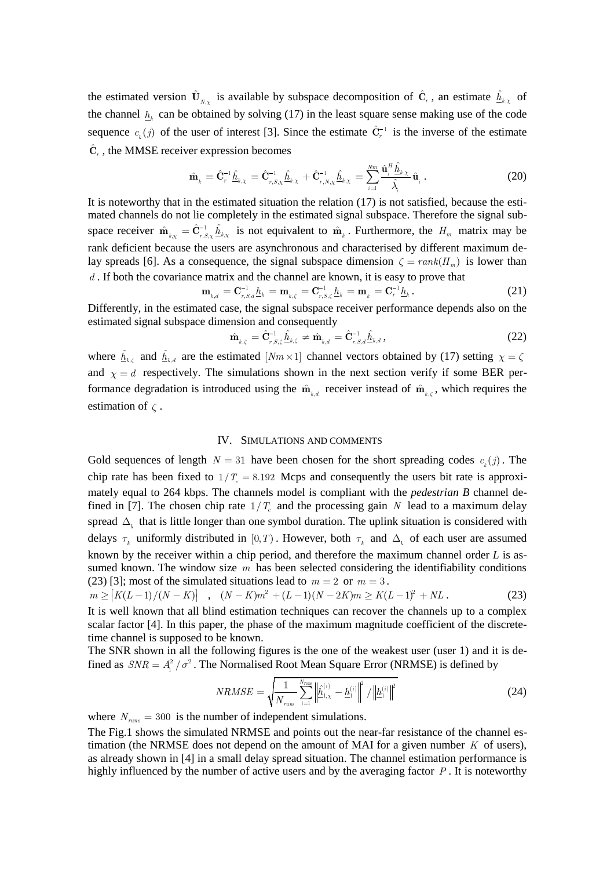the estimated version  $\hat{\mathbf{U}}_{N,\chi}$  is available by subspace decomposition of  $\hat{\mathbf{C}}_r$ , an estimate  $\underline{\hat{h}}_{k,\chi}$  of the channel  $h_k$  can be obtained by solving (17) in the least square sense making use of the code sequence  $c_k(j)$  of the user of interest [3]. Since the estimate  $\hat{C}_r^{-1}$  is the inverse of the estimate  $\hat{\mathbf{C}}_r$ , the MMSE receiver expression becomes ession becomes

$$
\hat{\mathbf{m}}_{k} = \hat{\mathbf{C}}_{r}^{-1} \hat{\underline{h}}_{k,\chi} = \hat{\mathbf{C}}_{r,S,\chi}^{-1} \hat{\underline{h}}_{k,\chi} + \hat{\mathbf{C}}_{r,N,\chi}^{-1} \hat{\underline{h}}_{k,\chi} = \sum_{i=1}^{N_{m}} \frac{\hat{\mathbf{u}}_{i}^{H} \hat{\underline{h}}_{k,\chi}}{\hat{\lambda}_{i}} \hat{\mathbf{u}}_{i}.
$$
 (20)

It is noteworthy that in the estimated situation the relation (17) is not satisfied, because the estimated channels do not lie completely in the estimated signal subspace. Therefore the signal subspace receiver  $\hat{\mathbf{m}}_{k,\chi} = \hat{\mathbf{C}}_{r,S,\chi}^{-1} \hat{h}_{k,\chi}$  is not equivalent to  $\hat{\mathbf{m}}_k$ . Furthermore, the  $H_m$  matrix may be rank deficient because the users are asynchronous and characterised by different maximum delay spreads [6]. As a consequence, the signal subspace dimension  $\zeta = rank(H_m)$  is lower than d. If both the covariance matrix and the channel are known, it is easy to prove that *d*. If both the covariance matrix and the channel are known, it is easy to prove that  $\mathbf{m} = \mathbf{C}^{-1}$   $h = \mathbf{m} = \mathbf{C}^{-1}$   $h = \mathbf{m} = \mathbf{C}^{-1}$ 

$$
\mathbf{m}_{k,d} = \mathbf{C}_{r,S,d}^{-1} \underline{h}_k = \mathbf{m}_{k,\zeta} = \mathbf{C}_{r,S,\zeta}^{-1} \underline{h}_k = \mathbf{m}_k = \mathbf{C}_r^{-1} \underline{h}_k. \tag{21}
$$

Differently, in the estimated case, the signal subspace receiver performance depends also on the estimated signal subspace dimension and consequently estimated signal subspace dimension and consequently

$$
\hat{\mathbf{m}}_{k,\zeta} = \hat{\mathbf{C}}_{r,s,\zeta}^{-1} \hat{\underline{h}}_{k,\zeta} \neq \hat{\mathbf{m}}_{k,d} = \hat{\mathbf{C}}_{r,s,d}^{-1} \hat{\underline{h}}_{k,d}, \qquad (22)
$$

where  $\hat{h}_{k,\zeta}$  and  $\hat{h}_{k,d}$  are the estimated [*Nm* × 1] channel vectors obtained by (17) setting  $\chi = \zeta$ and  $\chi = d$  respectively. The simulations shown in the next section verify if some BER performance degradation is introduced using the  $\hat{\mathbf{m}}_{k,d}$  receiver instead of  $\hat{\mathbf{m}}_{k,d}$ , which requires the estimation of  $\zeta$ .

## IV. SIMULATIONS AND COMMENTS

Gold sequences of length  $N = 31$  have been chosen for the short spreading codes  $c<sub>k</sub>(j)$ . The chip rate has been fixed to  $1/T_c = 8.192$  Mcps and consequently the users bit rate is approximately equal to 264 kbps. The channels model is compliant with the *pedestrian B* channel defined in [7]. The chosen chip rate  $1/T_c$  and the processing gain N lead to a maximum delay spread  $\Delta_k$  that is little longer than one symbol duration. The uplink situation is considered with delays  $\tau_k$  uniformly distributed in  $[0, T)$ . However, both  $\tau_k$  and  $\Delta_k$  of each user are assumed known by the receiver within a chip period, and therefore the maximum channel order *L* is assumed known. The window size *m* has been selected considering the identifiability conditions (23) [3]; most of the simulated situations lead to  $m = 2$  or  $m = 3$ .

$$
m \ge \left[ K(L-1)/(N-K) \right] , \quad (N-K)m^2 + (L-1)(N-2K)m \ge K(L-1)^2 + NL . \tag{23}
$$

It is well known that all blind estimation techniques can recover the channels up to a complex scalar factor [4]. In this paper, the phase of the maximum magnitude coefficient of the discretetime channel is supposed to be known.

The SNR shown in all the following figures is the one of the weakest user (user 1) and it is defined as  $SNR = A_1^2 / \sigma^2$ . The Normalised Root Mean Square Error (NRMSE) is defined by

$$
NRMSE = \sqrt{\frac{1}{N_{runs}} \sum_{i=1}^{N_{runs}} \left\| \hat{\underline{L}}_{1,\chi}^{(i)} - \underline{h}_{1}^{(i)} \right\|^{2} / \left\| \underline{h}_{1}^{(i)} \right\|^{2}}
$$
(24)

where  $N_{\text{rms}} = 300$  is the number of independent simulations.

The Fig.1 shows the simulated NRMSE and points out the near-far resistance of the channel estimation (the NRMSE does not depend on the amount of MAI for a given number  $K$  of users), as already shown in [4] in a small delay spread situation. The channel estimation performance is highly influenced by the number of active users and by the averaging factor *0* . It is noteworthy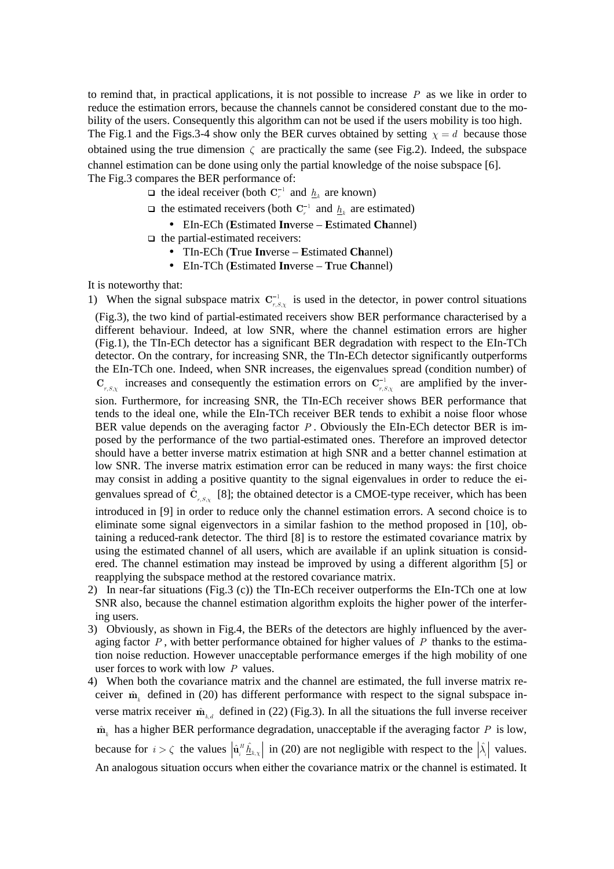to remind that, in practical applications, it is not possible to increase *0* as we like in order to reduce the estimation errors, because the channels cannot be considered constant due to the mobility of the users. Consequently this algorithm can not be used if the users mobility is too high. The Fig.1 and the Figs.3-4 show only the BER curves obtained by setting  $\chi = d$  because those obtained using the true dimension  $\zeta$  are practically the same (see Fig.2). Indeed, the subspace channel estimation can be done using only the partial knowledge of the noise subspace [6]. The Fig.3 compares the BER performance of:

- $\Box$  the ideal receiver (both  $\mathbf{C}_r^{-1}$  and  $\underline{h}_k$  are known)
- $\Box$  the estimated receivers (both  $\mathbf{C}_r^{-1}$  and  $\underline{h}_k$  are estimated)
	- EIn-ECh (**E**stimated **In**verse **E**stimated **Ch**annel)
- $\Box$  the partial-estimated receivers:
	- TIn-ECh (**T**rue **In**verse **E**stimated **Ch**annel)
	- EIn-TCh (**E**stimated **In**verse **T**rue **Ch**annel)

It is noteworthy that:

1) When the signal subspace matrix  $C_{r,s,\chi}^{-1}$  is used in the detector, in power control situations (Fig.3), the two kind of partial-estimated receivers show BER performance characterised by a different behaviour. Indeed, at low SNR, where the channel estimation errors are higher

(Fig.1), the TIn-ECh detector has a significant BER degradation with respect to the EIn-TCh detector. On the contrary, for increasing SNR, the TIn-ECh detector significantly outperforms the EIn-TCh one. Indeed, when SNR increases, the eigenvalues spread (condition number) of  $\mathbf{C}_{r,S,\chi}$  increases and consequently the estimation errors on  $\mathbf{C}_{r,S,\chi}^{-1}$  are amplified by the inversion. Furthermore, for increasing SNR, the TIn-ECh receiver shows BER performance that

tends to the ideal one, while the EIn-TCh receiver BER tends to exhibit a noise floor whose BER value depends on the averaging factor *0* . Obviously the EIn-ECh detector BER is imposed by the performance of the two partial-estimated ones. Therefore an improved detector should have a better inverse matrix estimation at high SNR and a better channel estimation at low SNR. The inverse matrix estimation error can be reduced in many ways: the first choice may consist in adding a positive quantity to the signal eigenvalues in order to reduce the eigenvalues spread of  $\hat{\mathbf{C}}_{r,s,\chi}$  [8]; the obtained detector is a CMOE-type receiver, which has been

introduced in [9] in order to reduce only the channel estimation errors. A second choice is to eliminate some signal eigenvectors in a similar fashion to the method proposed in [10], obtaining a reduced-rank detector. The third [8] is to restore the estimated covariance matrix by using the estimated channel of all users, which are available if an uplink situation is considered. The channel estimation may instead be improved by using a different algorithm [5] or reapplying the subspace method at the restored covariance matrix.

- 2) In near-far situations (Fig.3 (c)) the TIn-ECh receiver outperforms the EIn-TCh one at low SNR also, because the channel estimation algorithm exploits the higher power of the interfering users.
- 3) Obviously, as shown in Fig.4, the BERs of the detectors are highly influenced by the averaging factor  $P$ , with better performance obtained for higher values of  $P$  thanks to the estimation noise reduction. However unacceptable performance emerges if the high mobility of one user forces to work with low *P* values.
- 4) When both the covariance matrix and the channel are estimated, the full inverse matrix receiver  $\hat{\mathbf{m}}_k$  defined in (20) has different performance with respect to the signal subspace inverse matrix receiver  $\hat{\mathbf{m}}_{k,d}$  defined in (22) (Fig.3). In all the situations the full inverse receiver  $\hat{\mathbf{m}}_k$  has a higher BER performance degradation, unacceptable if the averaging factor *P* is low, because for  $i > \zeta$  the values  $\left| \hat{\mathbf{u}}_i^H \hat{\mathbf{L}}_{k,\chi} \right|$  in (20) are not negligible with respect to the  $\left| \hat{\lambda}_i \right|$  values. An analogous situation occurs when either the covariance matrix or the channel is estimated. It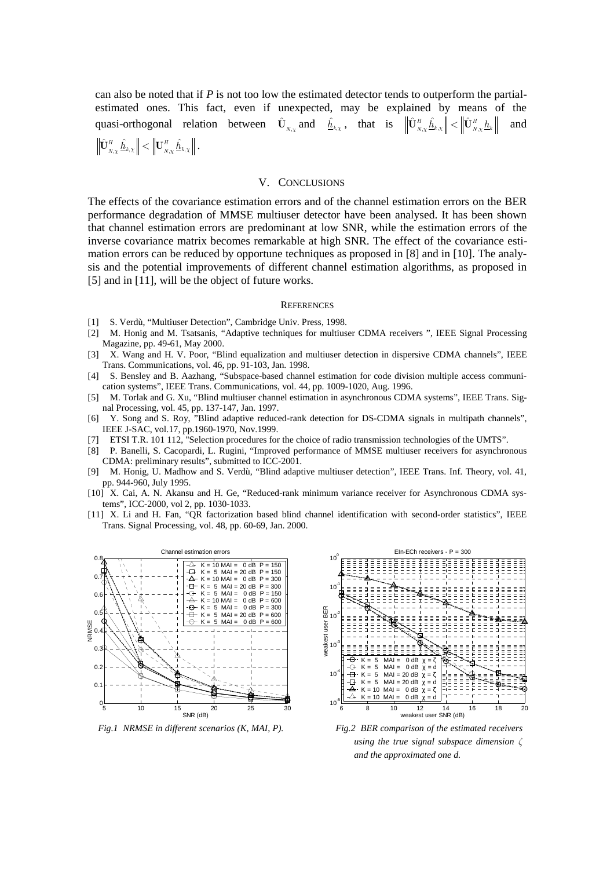can also be noted that if *P* is not too low the estimated detector tends to outperform the partialestimated ones. This fact, even if unexpected, may be explained by means of the quasi-orthogonal relation between  $\hat{\mathbf{U}}_{N,\chi}$  and  $\hat{\mathbf{h}}_{k,\chi}$ , that is  $\left\|\hat{\mathbf{U}}_{N,\chi}^H\hat{\mathbf{h}}_{k,\chi}\right\| < \left\|\hat{\mathbf{U}}_{N,\chi}^H\mathbf{h}_{k}\right\|$  and  $\hat{\mathbf{U}}_{N,\chi}^{H}\hat{\hat{\underline{h}}}_{k,\chi}\Big\|\!<\!\Big\|\mathbf{U}_{N,\chi}^{H}\hat{\underline{h}}_{k,\chi}\Big\|\,.$ 

### V. CONCLUSIONS

The effects of the covariance estimation errors and of the channel estimation errors on the BER performance degradation of MMSE multiuser detector have been analysed. It has been shown that channel estimation errors are predominant at low SNR, while the estimation errors of the inverse covariance matrix becomes remarkable at high SNR. The effect of the covariance estimation errors can be reduced by opportune techniques as proposed in [8] and in [10]. The analysis and the potential improvements of different channel estimation algorithms, as proposed in [5] and in [11], will be the object of future works.

#### **REFERENCES**

- [1] S. Verdù, "Multiuser Detection", Cambridge Univ. Press, 1998.
- [2] M. Honig and M. Tsatsanis, "Adaptive techniques for multiuser CDMA receivers ", IEEE Signal Processing Magazine, pp. 49-61, May 2000.
- [3] X. Wang and H. V. Poor, "Blind equalization and multiuser detection in dispersive CDMA channels", IEEE Trans. Communications, vol. 46, pp. 91-103, Jan. 1998.
- [4] S. Bensley and B. Aazhang, "Subspace-based channel estimation for code division multiple access communication systems", IEEE Trans. Communications, vol. 44, pp. 1009-1020, Aug. 1996.
- [5] M. Torlak and G. Xu, "Blind multiuser channel estimation in asynchronous CDMA systems", IEEE Trans. Signal Processing, vol. 45, pp. 137-147, Jan. 1997.
- [6] Y. Song and S. Roy, "Blind adaptive reduced-rank detection for DS-CDMA signals in multipath channels", IEEE J-SAC, vol.17, pp.1960-1970, Nov.1999.
- [7] ETSI T.R. 101 112, "Selection procedures for the choice of radio transmission technologies of the UMTS".
- [8] P. Banelli, S. Cacopardi, L. Rugini, "Improved performance of MMSE multiuser receivers for asynchronous CDMA: preliminary results", submitted to ICC-2001.
- [9] M. Honig, U. Madhow and S. Verdù, "Blind adaptive multiuser detection", IEEE Trans. Inf. Theory, vol. 41, pp. 944-960, July 1995.
- [10] X. Cai, A. N. Akansu and H. Ge, "Reduced-rank minimum variance receiver for Asynchronous CDMA systems", ICC-2000, vol 2, pp. 1030-1033.
- [11] X. Li and H. Fan, "QR factorization based blind channel identification with second-order statistics", IEEE Trans. Signal Processing, vol. 48, pp. 60-69, Jan. 2000.



*Fig.1 NRMSE in different scenarios (K, MAI, P). Fig.2 BER comparison of the estimated receivers*



*using the true signal subspace dimension*  $\zeta$ *and the approximated one d.*